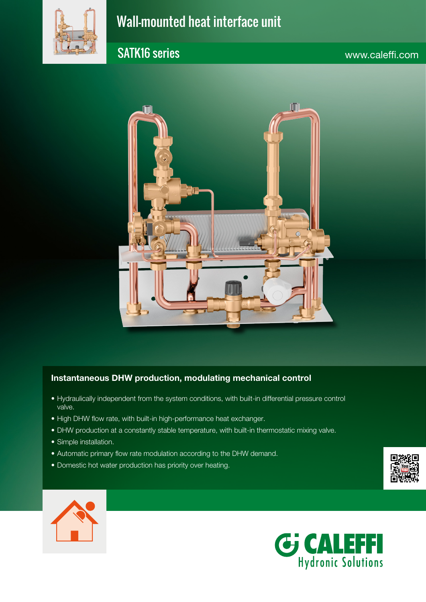

# Wall-mounted heat interface unit

## SATK16 series www.caleffi.com



#### Instantaneous DHW production, modulating mechanical control

- Hydraulically independent from the system conditions, with built-in differential pressure control valve.
- High DHW flow rate, with built-in high-performance heat exchanger.
- DHW production at a constantly stable temperature, with built-in thermostatic mixing valve.
- Simple installation.
- Automatic primary flow rate modulation according to the DHW demand.
- Domestic hot water production has priority over heating.